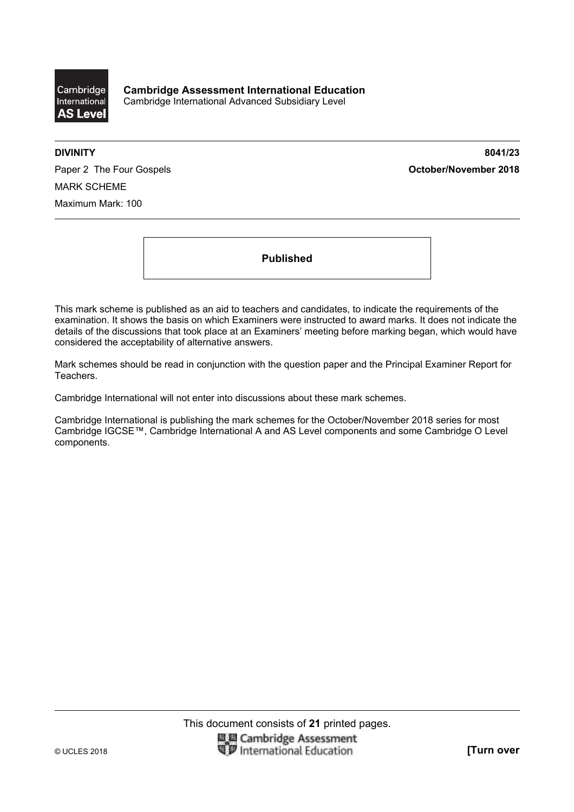

**DIVINITY 8041/23** 

Paper 2 The Four Gospels **Container and Container 2018 October/November 2018** MARK SCHEME Maximum Mark: 100

**Published** 

This mark scheme is published as an aid to teachers and candidates, to indicate the requirements of the examination. It shows the basis on which Examiners were instructed to award marks. It does not indicate the details of the discussions that took place at an Examiners' meeting before marking began, which would have considered the acceptability of alternative answers.

Mark schemes should be read in conjunction with the question paper and the Principal Examiner Report for Teachers.

Cambridge International will not enter into discussions about these mark schemes.

Cambridge International is publishing the mark schemes for the October/November 2018 series for most Cambridge IGCSE™, Cambridge International A and AS Level components and some Cambridge O Level components.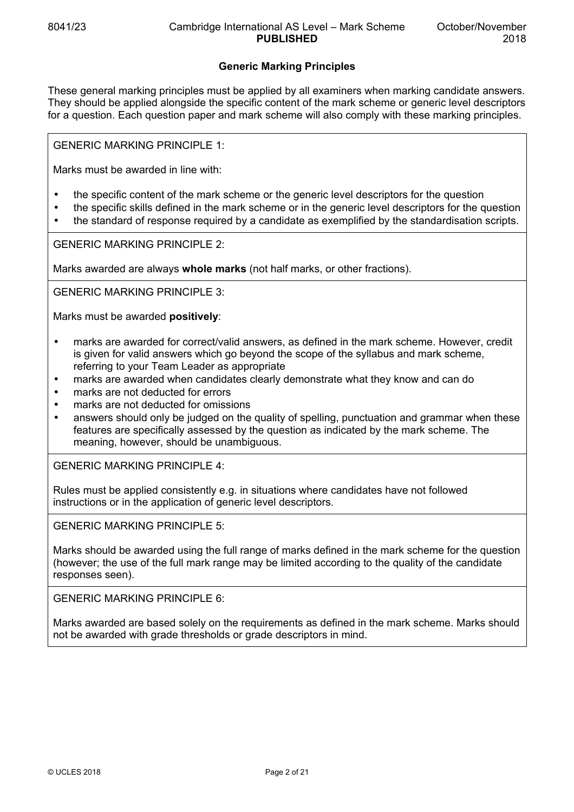# **Generic Marking Principles**

These general marking principles must be applied by all examiners when marking candidate answers. They should be applied alongside the specific content of the mark scheme or generic level descriptors for a question. Each question paper and mark scheme will also comply with these marking principles.

GENERIC MARKING PRINCIPLE 1:

Marks must be awarded in line with:

- the specific content of the mark scheme or the generic level descriptors for the question
- the specific skills defined in the mark scheme or in the generic level descriptors for the question
- the standard of response required by a candidate as exemplified by the standardisation scripts.

GENERIC MARKING PRINCIPLE 2:

Marks awarded are always **whole marks** (not half marks, or other fractions).

GENERIC MARKING PRINCIPLE 3:

Marks must be awarded **positively**:

- marks are awarded for correct/valid answers, as defined in the mark scheme. However, credit is given for valid answers which go beyond the scope of the syllabus and mark scheme, referring to your Team Leader as appropriate
- marks are awarded when candidates clearly demonstrate what they know and can do
- marks are not deducted for errors
- marks are not deducted for omissions
- answers should only be judged on the quality of spelling, punctuation and grammar when these features are specifically assessed by the question as indicated by the mark scheme. The meaning, however, should be unambiguous.

GENERIC MARKING PRINCIPLE 4:

Rules must be applied consistently e.g. in situations where candidates have not followed instructions or in the application of generic level descriptors.

GENERIC MARKING PRINCIPLE 5:

Marks should be awarded using the full range of marks defined in the mark scheme for the question (however; the use of the full mark range may be limited according to the quality of the candidate responses seen).

GENERIC MARKING PRINCIPLE 6:

Marks awarded are based solely on the requirements as defined in the mark scheme. Marks should not be awarded with grade thresholds or grade descriptors in mind.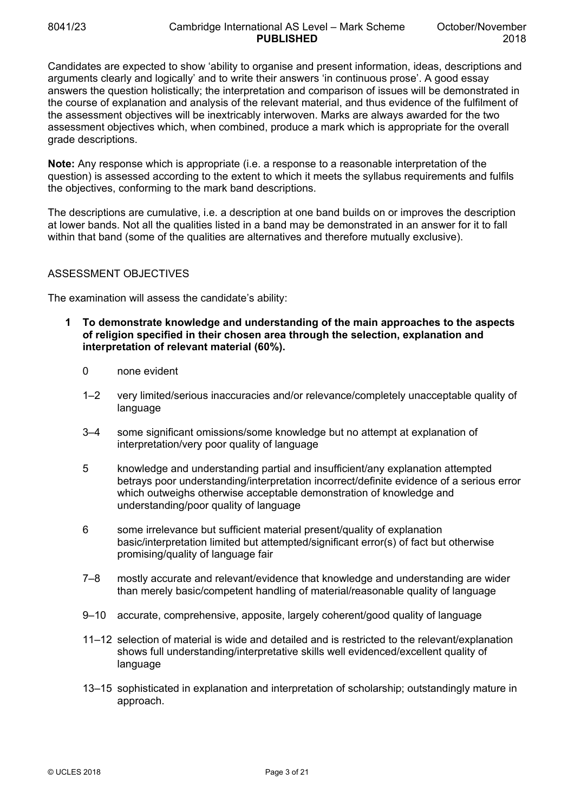Candidates are expected to show 'ability to organise and present information, ideas, descriptions and arguments clearly and logically' and to write their answers 'in continuous prose'. A good essay answers the question holistically; the interpretation and comparison of issues will be demonstrated in the course of explanation and analysis of the relevant material, and thus evidence of the fulfilment of the assessment objectives will be inextricably interwoven. Marks are always awarded for the two assessment objectives which, when combined, produce a mark which is appropriate for the overall grade descriptions.

**Note:** Any response which is appropriate (i.e. a response to a reasonable interpretation of the question) is assessed according to the extent to which it meets the syllabus requirements and fulfils the objectives, conforming to the mark band descriptions.

The descriptions are cumulative, i.e. a description at one band builds on or improves the description at lower bands. Not all the qualities listed in a band may be demonstrated in an answer for it to fall within that band (some of the qualities are alternatives and therefore mutually exclusive).

## ASSESSMENT OBJECTIVES

The examination will assess the candidate's ability:

- **1 To demonstrate knowledge and understanding of the main approaches to the aspects of religion specified in their chosen area through the selection, explanation and interpretation of relevant material (60%).** 
	- 0 none evident
	- 1–2 very limited/serious inaccuracies and/or relevance/completely unacceptable quality of language
	- 3–4 some significant omissions/some knowledge but no attempt at explanation of interpretation/very poor quality of language
	- 5 knowledge and understanding partial and insufficient/any explanation attempted betrays poor understanding/interpretation incorrect/definite evidence of a serious error which outweighs otherwise acceptable demonstration of knowledge and understanding/poor quality of language
	- 6 some irrelevance but sufficient material present/quality of explanation basic/interpretation limited but attempted/significant error(s) of fact but otherwise promising/quality of language fair
	- 7–8 mostly accurate and relevant/evidence that knowledge and understanding are wider than merely basic/competent handling of material/reasonable quality of language
	- 9–10 accurate, comprehensive, apposite, largely coherent/good quality of language
	- 11–12 selection of material is wide and detailed and is restricted to the relevant/explanation shows full understanding/interpretative skills well evidenced/excellent quality of language
	- 13–15 sophisticated in explanation and interpretation of scholarship; outstandingly mature in approach.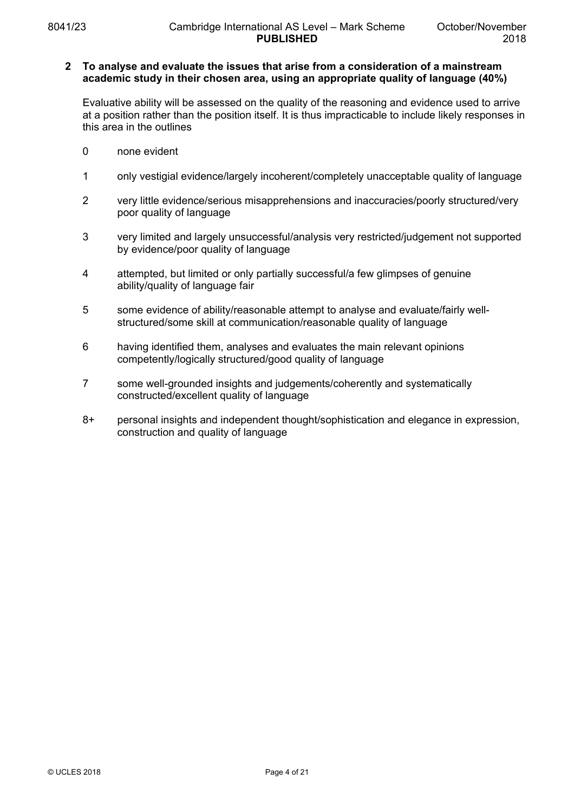#### **2 To analyse and evaluate the issues that arise from a consideration of a mainstream academic study in their chosen area, using an appropriate quality of language (40%)**

Evaluative ability will be assessed on the quality of the reasoning and evidence used to arrive at a position rather than the position itself. It is thus impracticable to include likely responses in this area in the outlines

- 0 none evident
- 1 only vestigial evidence/largely incoherent/completely unacceptable quality of language
- 2 very little evidence/serious misapprehensions and inaccuracies/poorly structured/very poor quality of language
- 3 very limited and largely unsuccessful/analysis very restricted/judgement not supported by evidence/poor quality of language
- 4 attempted, but limited or only partially successful/a few glimpses of genuine ability/quality of language fair
- 5 some evidence of ability/reasonable attempt to analyse and evaluate/fairly wellstructured/some skill at communication/reasonable quality of language
- 6 having identified them, analyses and evaluates the main relevant opinions competently/logically structured/good quality of language
- 7 some well-grounded insights and judgements/coherently and systematically constructed/excellent quality of language
- 8+ personal insights and independent thought/sophistication and elegance in expression, construction and quality of language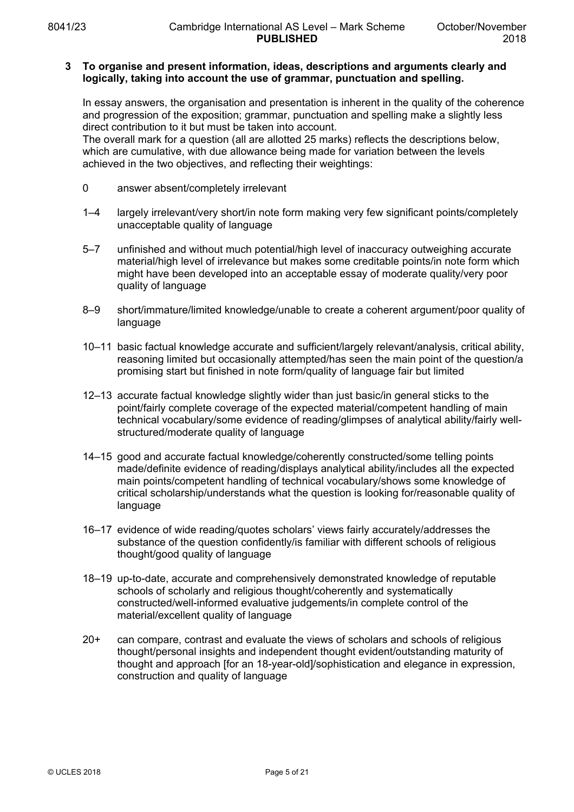## **3 To organise and present information, ideas, descriptions and arguments clearly and logically, taking into account the use of grammar, punctuation and spelling.**

In essay answers, the organisation and presentation is inherent in the quality of the coherence and progression of the exposition; grammar, punctuation and spelling make a slightly less direct contribution to it but must be taken into account.

The overall mark for a question (all are allotted 25 marks) reflects the descriptions below, which are cumulative, with due allowance being made for variation between the levels achieved in the two objectives, and reflecting their weightings:

- 0 answer absent/completely irrelevant
- 1–4 largely irrelevant/very short/in note form making very few significant points/completely unacceptable quality of language
- 5–7 unfinished and without much potential/high level of inaccuracy outweighing accurate material/high level of irrelevance but makes some creditable points/in note form which might have been developed into an acceptable essay of moderate quality/very poor quality of language
- 8–9 short/immature/limited knowledge/unable to create a coherent argument/poor quality of language
- 10–11 basic factual knowledge accurate and sufficient/largely relevant/analysis, critical ability, reasoning limited but occasionally attempted/has seen the main point of the question/a promising start but finished in note form/quality of language fair but limited
- 12–13 accurate factual knowledge slightly wider than just basic/in general sticks to the point/fairly complete coverage of the expected material/competent handling of main technical vocabulary/some evidence of reading/glimpses of analytical ability/fairly wellstructured/moderate quality of language
- 14–15 good and accurate factual knowledge/coherently constructed/some telling points made/definite evidence of reading/displays analytical ability/includes all the expected main points/competent handling of technical vocabulary/shows some knowledge of critical scholarship/understands what the question is looking for/reasonable quality of language
- 16–17 evidence of wide reading/quotes scholars' views fairly accurately/addresses the substance of the question confidently/is familiar with different schools of religious thought/good quality of language
- 18–19 up-to-date, accurate and comprehensively demonstrated knowledge of reputable schools of scholarly and religious thought/coherently and systematically constructed/well-informed evaluative judgements/in complete control of the material/excellent quality of language
- 20+ can compare, contrast and evaluate the views of scholars and schools of religious thought/personal insights and independent thought evident/outstanding maturity of thought and approach [for an 18-year-old]/sophistication and elegance in expression, construction and quality of language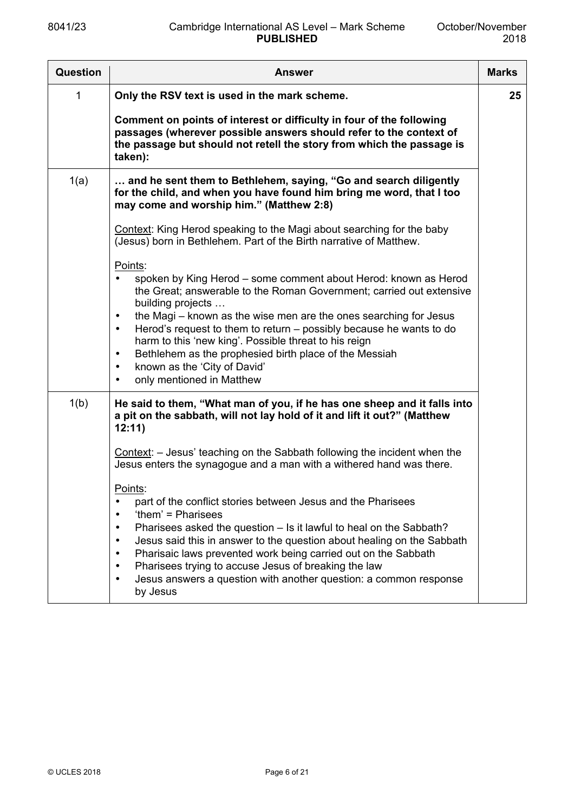| Question | <b>Answer</b>                                                                                                                                                                                                                                                                                                                                                                                                                                                                                                                                                        | <b>Marks</b> |
|----------|----------------------------------------------------------------------------------------------------------------------------------------------------------------------------------------------------------------------------------------------------------------------------------------------------------------------------------------------------------------------------------------------------------------------------------------------------------------------------------------------------------------------------------------------------------------------|--------------|
| 1        | Only the RSV text is used in the mark scheme.                                                                                                                                                                                                                                                                                                                                                                                                                                                                                                                        | 25           |
|          | Comment on points of interest or difficulty in four of the following<br>passages (wherever possible answers should refer to the context of<br>the passage but should not retell the story from which the passage is<br>taken):                                                                                                                                                                                                                                                                                                                                       |              |
| 1(a)     | and he sent them to Bethlehem, saying, "Go and search diligently<br>for the child, and when you have found him bring me word, that I too<br>may come and worship him." (Matthew 2:8)                                                                                                                                                                                                                                                                                                                                                                                 |              |
|          | Context: King Herod speaking to the Magi about searching for the baby<br>(Jesus) born in Bethlehem. Part of the Birth narrative of Matthew.                                                                                                                                                                                                                                                                                                                                                                                                                          |              |
|          | Points:<br>spoken by King Herod - some comment about Herod: known as Herod<br>the Great; answerable to the Roman Government; carried out extensive<br>building projects<br>the Magi – known as the wise men are the ones searching for Jesus<br>$\bullet$<br>Herod's request to them to return – possibly because he wants to do<br>$\bullet$<br>harm to this 'new king'. Possible threat to his reign<br>Bethlehem as the prophesied birth place of the Messiah<br>$\bullet$<br>known as the 'City of David'<br>$\bullet$<br>only mentioned in Matthew<br>$\bullet$ |              |
| 1(b)     | He said to them, "What man of you, if he has one sheep and it falls into<br>a pit on the sabbath, will not lay hold of it and lift it out?" (Matthew<br>12:11)                                                                                                                                                                                                                                                                                                                                                                                                       |              |
|          | Context: - Jesus' teaching on the Sabbath following the incident when the<br>Jesus enters the synagogue and a man with a withered hand was there.                                                                                                                                                                                                                                                                                                                                                                                                                    |              |
|          | Points:<br>part of the conflict stories between Jesus and the Pharisees<br>$\bullet$<br>'them' = Pharisees<br>$\bullet$<br>Pharisees asked the question – Is it lawful to heal on the Sabbath?<br>$\bullet$<br>Jesus said this in answer to the question about healing on the Sabbath<br>$\bullet$<br>Pharisaic laws prevented work being carried out on the Sabbath<br>$\bullet$<br>Pharisees trying to accuse Jesus of breaking the law<br>$\bullet$<br>Jesus answers a question with another question: a common response<br>$\bullet$<br>by Jesus                 |              |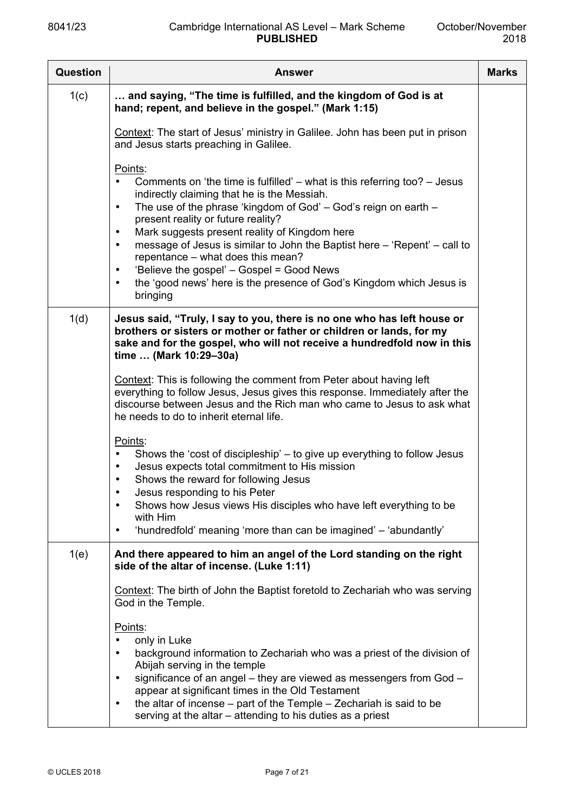| <b>Question</b> | <b>Answer</b>                                                                                                                                                                                                                                                                                                                                                                                                                                                                                                                                                                                                         | <b>Marks</b> |
|-----------------|-----------------------------------------------------------------------------------------------------------------------------------------------------------------------------------------------------------------------------------------------------------------------------------------------------------------------------------------------------------------------------------------------------------------------------------------------------------------------------------------------------------------------------------------------------------------------------------------------------------------------|--------------|
| 1(c)            | and saying, "The time is fulfilled, and the kingdom of God is at<br>hand; repent, and believe in the gospel." (Mark 1:15)                                                                                                                                                                                                                                                                                                                                                                                                                                                                                             |              |
|                 | Context: The start of Jesus' ministry in Galilee. John has been put in prison<br>and Jesus starts preaching in Galilee.                                                                                                                                                                                                                                                                                                                                                                                                                                                                                               |              |
|                 | Points:<br>Comments on 'the time is fulfilled' $-$ what is this referring too? $-$ Jesus<br>indirectly claiming that he is the Messiah.<br>The use of the phrase 'kingdom of God' - God's reign on earth -<br>$\bullet$<br>present reality or future reality?<br>Mark suggests present reality of Kingdom here<br>$\bullet$<br>message of Jesus is similar to John the Baptist here - 'Repent' - call to<br>$\bullet$<br>repentance - what does this mean?<br>'Believe the gospel' – Gospel = Good News<br>$\bullet$<br>the 'good news' here is the presence of God's Kingdom which Jesus is<br>$\bullet$<br>bringing |              |
| 1(d)            | Jesus said, "Truly, I say to you, there is no one who has left house or<br>brothers or sisters or mother or father or children or lands, for my<br>sake and for the gospel, who will not receive a hundredfold now in this<br>time  (Mark 10:29-30a)                                                                                                                                                                                                                                                                                                                                                                  |              |
|                 | Context: This is following the comment from Peter about having left<br>everything to follow Jesus, Jesus gives this response. Immediately after the<br>discourse between Jesus and the Rich man who came to Jesus to ask what<br>he needs to do to inherit eternal life.                                                                                                                                                                                                                                                                                                                                              |              |
|                 | Points:<br>Shows the 'cost of discipleship' – to give up everything to follow Jesus<br>$\bullet$<br>Jesus expects total commitment to His mission<br>$\bullet$<br>Shows the reward for following Jesus<br>Jesus responding to his Peter                                                                                                                                                                                                                                                                                                                                                                               |              |
|                 | Shows how Jesus views His disciples who have left everything to be<br>$\bullet$<br>with Him<br>'hundredfold' meaning 'more than can be imagined' - 'abundantly'<br>$\bullet$                                                                                                                                                                                                                                                                                                                                                                                                                                          |              |
| 1(e)            | And there appeared to him an angel of the Lord standing on the right<br>side of the altar of incense. (Luke 1:11)                                                                                                                                                                                                                                                                                                                                                                                                                                                                                                     |              |
|                 | Context: The birth of John the Baptist foretold to Zechariah who was serving<br>God in the Temple.                                                                                                                                                                                                                                                                                                                                                                                                                                                                                                                    |              |
|                 | Points:<br>only in Luke<br>background information to Zechariah who was a priest of the division of<br>Abijah serving in the temple<br>significance of an angel - they are viewed as messengers from God -<br>$\bullet$<br>appear at significant times in the Old Testament<br>the altar of incense $-$ part of the Temple $-$ Zechariah is said to be<br>$\bullet$<br>serving at the altar – attending to his duties as a priest                                                                                                                                                                                      |              |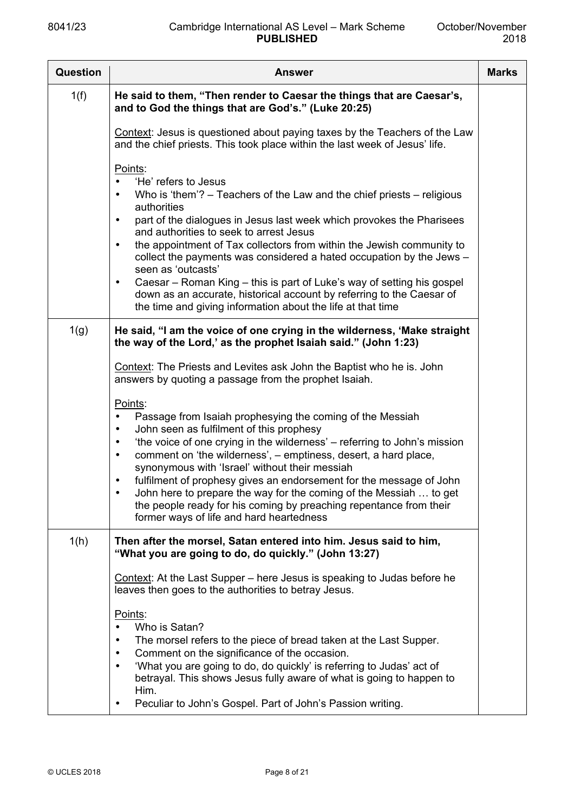| <b>Question</b> | <b>Answer</b>                                                                                                                                                                                                                                                                                                                                                                                                                                                                                                                                                                                                                                                                                 | <b>Marks</b> |
|-----------------|-----------------------------------------------------------------------------------------------------------------------------------------------------------------------------------------------------------------------------------------------------------------------------------------------------------------------------------------------------------------------------------------------------------------------------------------------------------------------------------------------------------------------------------------------------------------------------------------------------------------------------------------------------------------------------------------------|--------------|
| 1(f)            | He said to them, "Then render to Caesar the things that are Caesar's,<br>and to God the things that are God's." (Luke 20:25)                                                                                                                                                                                                                                                                                                                                                                                                                                                                                                                                                                  |              |
|                 | Context: Jesus is questioned about paying taxes by the Teachers of the Law<br>and the chief priests. This took place within the last week of Jesus' life.                                                                                                                                                                                                                                                                                                                                                                                                                                                                                                                                     |              |
|                 | Points:<br>'He' refers to Jesus<br>Who is 'them'? $-$ Teachers of the Law and the chief priests $-$ religious<br>$\bullet$<br>authorities<br>part of the dialogues in Jesus last week which provokes the Pharisees<br>$\bullet$<br>and authorities to seek to arrest Jesus<br>the appointment of Tax collectors from within the Jewish community to<br>$\bullet$<br>collect the payments was considered a hated occupation by the Jews -<br>seen as 'outcasts'<br>Caesar – Roman King – this is part of Luke's way of setting his gospel<br>$\bullet$<br>down as an accurate, historical account by referring to the Caesar of<br>the time and giving information about the life at that time |              |
| 1(g)            | He said, "I am the voice of one crying in the wilderness, 'Make straight<br>the way of the Lord,' as the prophet Isaiah said." (John 1:23)<br>Context: The Priests and Levites ask John the Baptist who he is. John<br>answers by quoting a passage from the prophet Isaiah.                                                                                                                                                                                                                                                                                                                                                                                                                  |              |
|                 | Points:<br>Passage from Isaiah prophesying the coming of the Messiah<br>$\bullet$<br>John seen as fulfilment of this prophesy<br>$\bullet$<br>'the voice of one crying in the wilderness' – referring to John's mission<br>$\bullet$<br>comment on 'the wilderness', - emptiness, desert, a hard place,<br>$\bullet$<br>synonymous with 'Israel' without their messiah<br>fulfilment of prophesy gives an endorsement for the message of John<br>$\bullet$<br>John here to prepare the way for the coming of the Messiah  to get<br>the people ready for his coming by preaching repentance from their<br>former ways of life and hard heartedness                                            |              |
| 1(h)            | Then after the morsel, Satan entered into him. Jesus said to him,<br>"What you are going to do, do quickly." (John 13:27)                                                                                                                                                                                                                                                                                                                                                                                                                                                                                                                                                                     |              |
|                 | Context: At the Last Supper – here Jesus is speaking to Judas before he<br>leaves then goes to the authorities to betray Jesus.                                                                                                                                                                                                                                                                                                                                                                                                                                                                                                                                                               |              |
|                 | Points:<br>Who is Satan?<br>The morsel refers to the piece of bread taken at the Last Supper.<br>$\bullet$<br>Comment on the significance of the occasion.<br>$\bullet$<br>'What you are going to do, do quickly' is referring to Judas' act of<br>$\bullet$<br>betrayal. This shows Jesus fully aware of what is going to happen to<br>Him.<br>Peculiar to John's Gospel. Part of John's Passion writing.<br>$\bullet$                                                                                                                                                                                                                                                                       |              |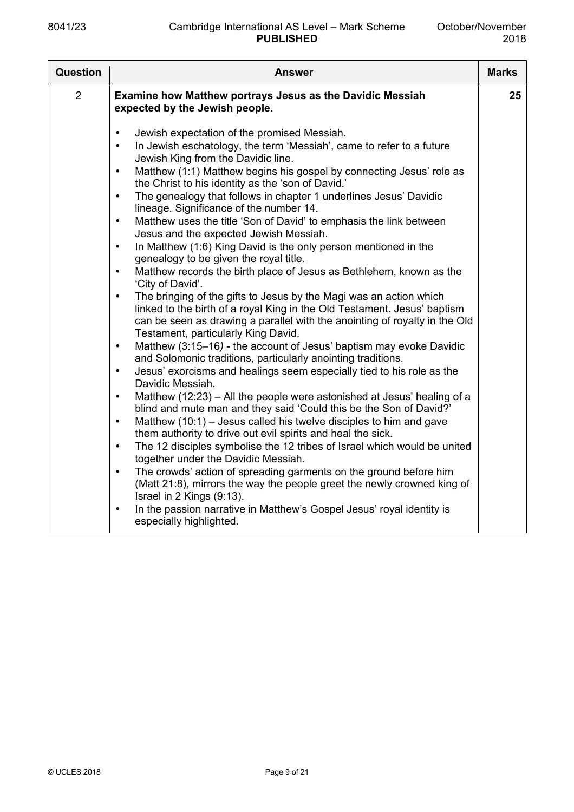| <b>Question</b> | <b>Answer</b>                                                                                                                                                                                                                                                                                                                                                                                                                                                                                                                                                                                                                                                                                                                                                                                                                                                                                                                                                                                                                                                                                                                                                                                                                                                                                                                                                                                                                                                                                                                                                                                                                                                                                                                                                                                                                                                                                                                                                                                                                                                                                                 | <b>Marks</b> |
|-----------------|---------------------------------------------------------------------------------------------------------------------------------------------------------------------------------------------------------------------------------------------------------------------------------------------------------------------------------------------------------------------------------------------------------------------------------------------------------------------------------------------------------------------------------------------------------------------------------------------------------------------------------------------------------------------------------------------------------------------------------------------------------------------------------------------------------------------------------------------------------------------------------------------------------------------------------------------------------------------------------------------------------------------------------------------------------------------------------------------------------------------------------------------------------------------------------------------------------------------------------------------------------------------------------------------------------------------------------------------------------------------------------------------------------------------------------------------------------------------------------------------------------------------------------------------------------------------------------------------------------------------------------------------------------------------------------------------------------------------------------------------------------------------------------------------------------------------------------------------------------------------------------------------------------------------------------------------------------------------------------------------------------------------------------------------------------------------------------------------------------------|--------------|
| $\overline{2}$  | <b>Examine how Matthew portrays Jesus as the Davidic Messiah</b><br>expected by the Jewish people.                                                                                                                                                                                                                                                                                                                                                                                                                                                                                                                                                                                                                                                                                                                                                                                                                                                                                                                                                                                                                                                                                                                                                                                                                                                                                                                                                                                                                                                                                                                                                                                                                                                                                                                                                                                                                                                                                                                                                                                                            | 25           |
|                 | Jewish expectation of the promised Messiah.<br>$\bullet$<br>In Jewish eschatology, the term 'Messiah', came to refer to a future<br>$\bullet$<br>Jewish King from the Davidic line.<br>Matthew (1:1) Matthew begins his gospel by connecting Jesus' role as<br>$\bullet$<br>the Christ to his identity as the 'son of David.'<br>The genealogy that follows in chapter 1 underlines Jesus' Davidic<br>$\bullet$<br>lineage. Significance of the number 14.<br>Matthew uses the title 'Son of David' to emphasis the link between<br>$\bullet$<br>Jesus and the expected Jewish Messiah.<br>In Matthew (1:6) King David is the only person mentioned in the<br>$\bullet$<br>genealogy to be given the royal title.<br>Matthew records the birth place of Jesus as Bethlehem, known as the<br>$\bullet$<br>'City of David'.<br>The bringing of the gifts to Jesus by the Magi was an action which<br>$\bullet$<br>linked to the birth of a royal King in the Old Testament. Jesus' baptism<br>can be seen as drawing a parallel with the anointing of royalty in the Old<br>Testament, particularly King David.<br>Matthew (3:15-16) - the account of Jesus' baptism may evoke Davidic<br>$\bullet$<br>and Solomonic traditions, particularly anointing traditions.<br>Jesus' exorcisms and healings seem especially tied to his role as the<br>$\bullet$<br>Davidic Messiah.<br>Matthew (12:23) – All the people were astonished at Jesus' healing of a<br>$\bullet$<br>blind and mute man and they said 'Could this be the Son of David?'<br>Matthew $(10:1)$ – Jesus called his twelve disciples to him and gave<br>$\bullet$<br>them authority to drive out evil spirits and heal the sick.<br>The 12 disciples symbolise the 12 tribes of Israel which would be united<br>$\bullet$<br>together under the Davidic Messiah.<br>The crowds' action of spreading garments on the ground before him<br>$\bullet$<br>(Matt 21:8), mirrors the way the people greet the newly crowned king of<br>Israel in 2 Kings (9:13).<br>In the passion narrative in Matthew's Gospel Jesus' royal identity is<br>$\bullet$ |              |
|                 | especially highlighted.                                                                                                                                                                                                                                                                                                                                                                                                                                                                                                                                                                                                                                                                                                                                                                                                                                                                                                                                                                                                                                                                                                                                                                                                                                                                                                                                                                                                                                                                                                                                                                                                                                                                                                                                                                                                                                                                                                                                                                                                                                                                                       |              |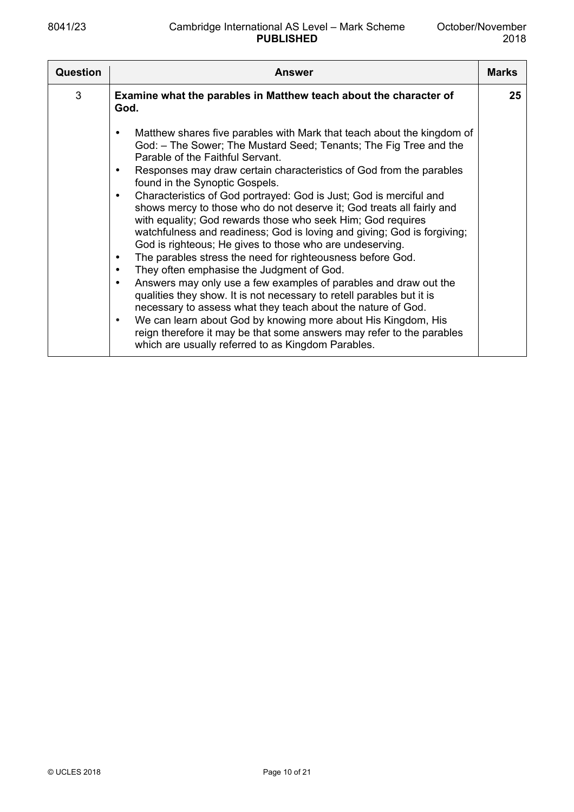| <b>Question</b> | <b>Answer</b>                                                                                                                                                                                                                                                                                                                                                                                                                                                                                                                                                                                                                                                                                                                                                                                                                                                                                                                                                                                                                                                                                                                                                                                                                                                    | <b>Marks</b> |
|-----------------|------------------------------------------------------------------------------------------------------------------------------------------------------------------------------------------------------------------------------------------------------------------------------------------------------------------------------------------------------------------------------------------------------------------------------------------------------------------------------------------------------------------------------------------------------------------------------------------------------------------------------------------------------------------------------------------------------------------------------------------------------------------------------------------------------------------------------------------------------------------------------------------------------------------------------------------------------------------------------------------------------------------------------------------------------------------------------------------------------------------------------------------------------------------------------------------------------------------------------------------------------------------|--------------|
| 3               | Examine what the parables in Matthew teach about the character of<br>God.                                                                                                                                                                                                                                                                                                                                                                                                                                                                                                                                                                                                                                                                                                                                                                                                                                                                                                                                                                                                                                                                                                                                                                                        | 25           |
|                 | Matthew shares five parables with Mark that teach about the kingdom of<br>$\bullet$<br>God: – The Sower; The Mustard Seed; Tenants; The Fig Tree and the<br>Parable of the Faithful Servant.<br>Responses may draw certain characteristics of God from the parables<br>$\bullet$<br>found in the Synoptic Gospels.<br>Characteristics of God portrayed: God is Just; God is merciful and<br>$\bullet$<br>shows mercy to those who do not deserve it; God treats all fairly and<br>with equality; God rewards those who seek Him; God requires<br>watchfulness and readiness; God is loving and giving; God is forgiving;<br>God is righteous; He gives to those who are undeserving.<br>The parables stress the need for righteousness before God.<br>$\bullet$<br>They often emphasise the Judgment of God.<br>$\bullet$<br>Answers may only use a few examples of parables and draw out the<br>$\bullet$<br>qualities they show. It is not necessary to retell parables but it is<br>necessary to assess what they teach about the nature of God.<br>We can learn about God by knowing more about His Kingdom, His<br>$\bullet$<br>reign therefore it may be that some answers may refer to the parables<br>which are usually referred to as Kingdom Parables. |              |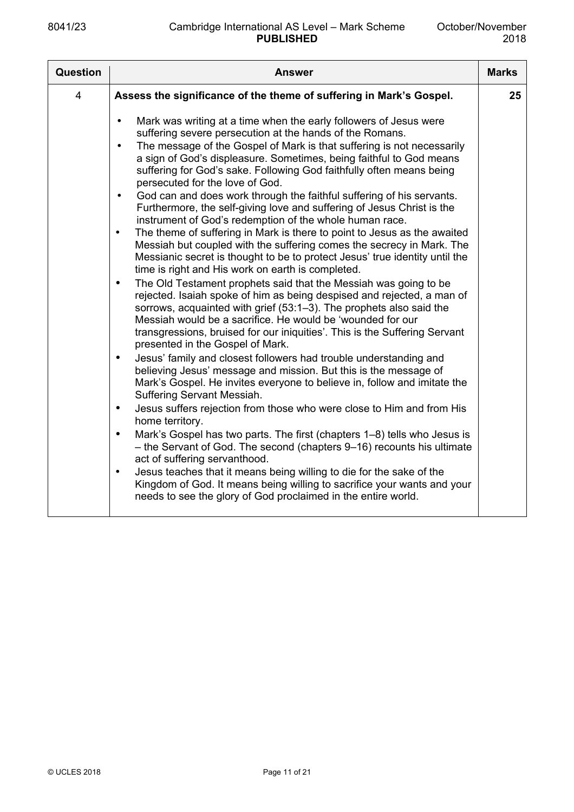| Question       | <b>Answer</b>                                                                                                                                                                                                                                                                                                                                                                                                                                                                                                                                                                                                                                                                                                                                                                                                                                                                                                                                                                                                                                                                                                                                                                                                                                                                                                                                                                                                                                                                                                                                                                                                                                                                                                                                                                                                                                                                                                                                                                                                                                                                                                                                                                        | <b>Marks</b> |
|----------------|--------------------------------------------------------------------------------------------------------------------------------------------------------------------------------------------------------------------------------------------------------------------------------------------------------------------------------------------------------------------------------------------------------------------------------------------------------------------------------------------------------------------------------------------------------------------------------------------------------------------------------------------------------------------------------------------------------------------------------------------------------------------------------------------------------------------------------------------------------------------------------------------------------------------------------------------------------------------------------------------------------------------------------------------------------------------------------------------------------------------------------------------------------------------------------------------------------------------------------------------------------------------------------------------------------------------------------------------------------------------------------------------------------------------------------------------------------------------------------------------------------------------------------------------------------------------------------------------------------------------------------------------------------------------------------------------------------------------------------------------------------------------------------------------------------------------------------------------------------------------------------------------------------------------------------------------------------------------------------------------------------------------------------------------------------------------------------------------------------------------------------------------------------------------------------------|--------------|
| $\overline{4}$ | Assess the significance of the theme of suffering in Mark's Gospel.                                                                                                                                                                                                                                                                                                                                                                                                                                                                                                                                                                                                                                                                                                                                                                                                                                                                                                                                                                                                                                                                                                                                                                                                                                                                                                                                                                                                                                                                                                                                                                                                                                                                                                                                                                                                                                                                                                                                                                                                                                                                                                                  | 25           |
|                | Mark was writing at a time when the early followers of Jesus were<br>$\bullet$<br>suffering severe persecution at the hands of the Romans.<br>The message of the Gospel of Mark is that suffering is not necessarily<br>$\bullet$<br>a sign of God's displeasure. Sometimes, being faithful to God means<br>suffering for God's sake. Following God faithfully often means being<br>persecuted for the love of God.<br>God can and does work through the faithful suffering of his servants.<br>$\bullet$<br>Furthermore, the self-giving love and suffering of Jesus Christ is the<br>instrument of God's redemption of the whole human race.<br>The theme of suffering in Mark is there to point to Jesus as the awaited<br>$\bullet$<br>Messiah but coupled with the suffering comes the secrecy in Mark. The<br>Messianic secret is thought to be to protect Jesus' true identity until the<br>time is right and His work on earth is completed.<br>The Old Testament prophets said that the Messiah was going to be<br>$\bullet$<br>rejected. Isaiah spoke of him as being despised and rejected, a man of<br>sorrows, acquainted with grief (53:1-3). The prophets also said the<br>Messiah would be a sacrifice. He would be 'wounded for our<br>transgressions, bruised for our iniquities'. This is the Suffering Servant<br>presented in the Gospel of Mark.<br>Jesus' family and closest followers had trouble understanding and<br>$\bullet$<br>believing Jesus' message and mission. But this is the message of<br>Mark's Gospel. He invites everyone to believe in, follow and imitate the<br>Suffering Servant Messiah.<br>Jesus suffers rejection from those who were close to Him and from His<br>$\bullet$<br>home territory.<br>Mark's Gospel has two parts. The first (chapters 1–8) tells who Jesus is<br>$\bullet$<br>- the Servant of God. The second (chapters 9-16) recounts his ultimate<br>act of suffering servanthood.<br>Jesus teaches that it means being willing to die for the sake of the<br>$\bullet$<br>Kingdom of God. It means being willing to sacrifice your wants and your<br>needs to see the glory of God proclaimed in the entire world. |              |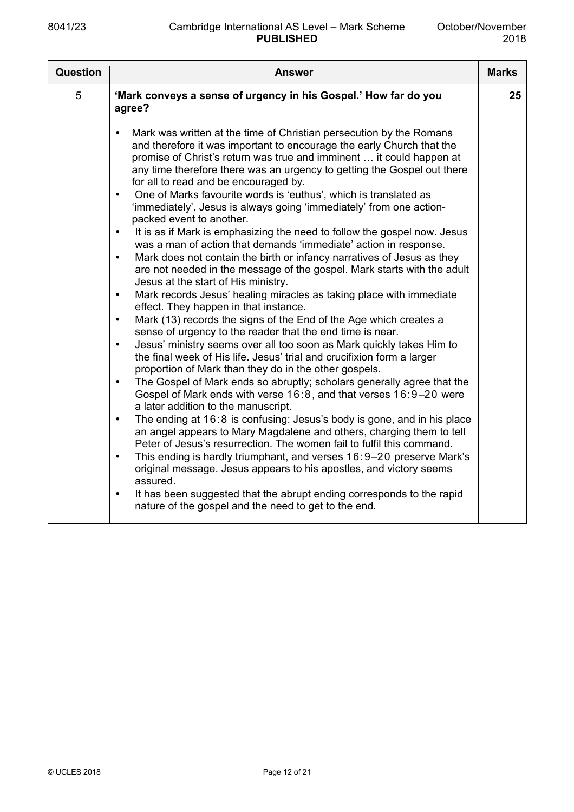| Question | <b>Answer</b>                                                                                                                                                                                                                                                                                                                                                                                                                                                                                                                                                                                                                                                                                                                                                                                                                                                                                                                                                                                                                                                                                                                                                                                                                                                                                                                                                                                                                                                                                                                                                                                                                                                                                                                                                                                                                                                                                                                                                                                                                                                                                                                                                                        | <b>Marks</b> |
|----------|--------------------------------------------------------------------------------------------------------------------------------------------------------------------------------------------------------------------------------------------------------------------------------------------------------------------------------------------------------------------------------------------------------------------------------------------------------------------------------------------------------------------------------------------------------------------------------------------------------------------------------------------------------------------------------------------------------------------------------------------------------------------------------------------------------------------------------------------------------------------------------------------------------------------------------------------------------------------------------------------------------------------------------------------------------------------------------------------------------------------------------------------------------------------------------------------------------------------------------------------------------------------------------------------------------------------------------------------------------------------------------------------------------------------------------------------------------------------------------------------------------------------------------------------------------------------------------------------------------------------------------------------------------------------------------------------------------------------------------------------------------------------------------------------------------------------------------------------------------------------------------------------------------------------------------------------------------------------------------------------------------------------------------------------------------------------------------------------------------------------------------------------------------------------------------------|--------------|
| 5        | 'Mark conveys a sense of urgency in his Gospel.' How far do you<br>agree?                                                                                                                                                                                                                                                                                                                                                                                                                                                                                                                                                                                                                                                                                                                                                                                                                                                                                                                                                                                                                                                                                                                                                                                                                                                                                                                                                                                                                                                                                                                                                                                                                                                                                                                                                                                                                                                                                                                                                                                                                                                                                                            | 25           |
|          | Mark was written at the time of Christian persecution by the Romans<br>$\bullet$<br>and therefore it was important to encourage the early Church that the<br>promise of Christ's return was true and imminent  it could happen at<br>any time therefore there was an urgency to getting the Gospel out there<br>for all to read and be encouraged by.<br>One of Marks favourite words is 'euthus', which is translated as<br>$\bullet$<br>'immediately'. Jesus is always going 'immediately' from one action-<br>packed event to another.<br>It is as if Mark is emphasizing the need to follow the gospel now. Jesus<br>$\bullet$<br>was a man of action that demands 'immediate' action in response.<br>Mark does not contain the birth or infancy narratives of Jesus as they<br>$\bullet$<br>are not needed in the message of the gospel. Mark starts with the adult<br>Jesus at the start of His ministry.<br>Mark records Jesus' healing miracles as taking place with immediate<br>$\bullet$<br>effect. They happen in that instance.<br>Mark (13) records the signs of the End of the Age which creates a<br>$\bullet$<br>sense of urgency to the reader that the end time is near.<br>Jesus' ministry seems over all too soon as Mark quickly takes Him to<br>$\bullet$<br>the final week of His life. Jesus' trial and crucifixion form a larger<br>proportion of Mark than they do in the other gospels.<br>The Gospel of Mark ends so abruptly; scholars generally agree that the<br>$\bullet$<br>Gospel of Mark ends with verse 16:8, and that verses 16:9-20 were<br>a later addition to the manuscript.<br>The ending at 16:8 is confusing: Jesus's body is gone, and in his place<br>$\bullet$<br>an angel appears to Mary Magdalene and others, charging them to tell<br>Peter of Jesus's resurrection. The women fail to fulfil this command.<br>This ending is hardly triumphant, and verses 16:9-20 preserve Mark's<br>$\bullet$<br>original message. Jesus appears to his apostles, and victory seems<br>assured.<br>It has been suggested that the abrupt ending corresponds to the rapid<br>$\bullet$<br>nature of the gospel and the need to get to the end. |              |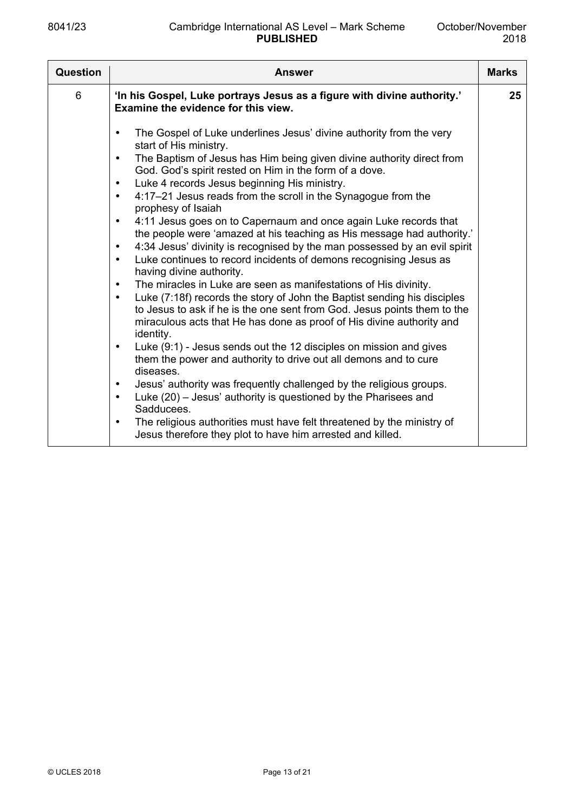| Question | <b>Answer</b>                                                                                                                                                                                                                                                                                                                                                                                                                                                                                                                                                                                                                                                                                                                                                                                                                                                                                                                                                                                                                                                                                                                                                                                                                                                                                                                                                                                                                                                                                                                                                                                                                                         | <b>Marks</b> |
|----------|-------------------------------------------------------------------------------------------------------------------------------------------------------------------------------------------------------------------------------------------------------------------------------------------------------------------------------------------------------------------------------------------------------------------------------------------------------------------------------------------------------------------------------------------------------------------------------------------------------------------------------------------------------------------------------------------------------------------------------------------------------------------------------------------------------------------------------------------------------------------------------------------------------------------------------------------------------------------------------------------------------------------------------------------------------------------------------------------------------------------------------------------------------------------------------------------------------------------------------------------------------------------------------------------------------------------------------------------------------------------------------------------------------------------------------------------------------------------------------------------------------------------------------------------------------------------------------------------------------------------------------------------------------|--------------|
| 6        | 'In his Gospel, Luke portrays Jesus as a figure with divine authority.'<br>Examine the evidence for this view.                                                                                                                                                                                                                                                                                                                                                                                                                                                                                                                                                                                                                                                                                                                                                                                                                                                                                                                                                                                                                                                                                                                                                                                                                                                                                                                                                                                                                                                                                                                                        | 25           |
|          | The Gospel of Luke underlines Jesus' divine authority from the very<br>$\bullet$<br>start of His ministry.<br>The Baptism of Jesus has Him being given divine authority direct from<br>$\bullet$<br>God. God's spirit rested on Him in the form of a dove.<br>Luke 4 records Jesus beginning His ministry.<br>$\bullet$<br>4:17-21 Jesus reads from the scroll in the Synagogue from the<br>$\bullet$<br>prophesy of Isaiah<br>4:11 Jesus goes on to Capernaum and once again Luke records that<br>$\bullet$<br>the people were 'amazed at his teaching as His message had authority.'<br>4:34 Jesus' divinity is recognised by the man possessed by an evil spirit<br>$\bullet$<br>Luke continues to record incidents of demons recognising Jesus as<br>$\bullet$<br>having divine authority.<br>The miracles in Luke are seen as manifestations of His divinity.<br>$\bullet$<br>Luke (7:18f) records the story of John the Baptist sending his disciples<br>$\bullet$<br>to Jesus to ask if he is the one sent from God. Jesus points them to the<br>miraculous acts that He has done as proof of His divine authority and<br>identity.<br>Luke (9:1) - Jesus sends out the 12 disciples on mission and gives<br>$\bullet$<br>them the power and authority to drive out all demons and to cure<br>diseases.<br>Jesus' authority was frequently challenged by the religious groups.<br>$\bullet$<br>Luke (20) – Jesus' authority is questioned by the Pharisees and<br>$\bullet$<br>Sadducees.<br>The religious authorities must have felt threatened by the ministry of<br>$\bullet$<br>Jesus therefore they plot to have him arrested and killed. |              |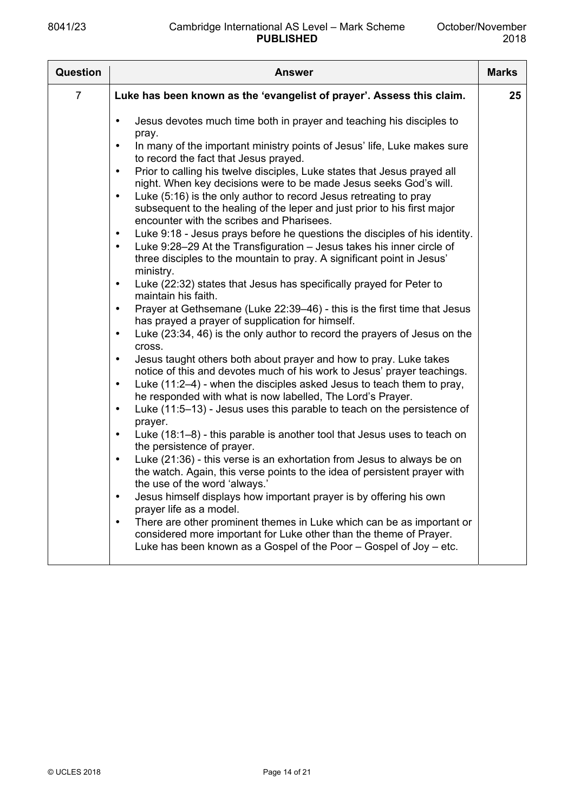| <b>Question</b> | <b>Answer</b>                                                                                                                                                                                                                                                                                                                                                                                                                                                                                                                                                                                                                                                                                                                                                                                                                                                                                                                                                                                                                                                                                                                                                                                                                                                                                                                                                                                                                                                                                                                                                                                                                                                                                                                                                                                                                                                                                                                                                                                                                                                                                                                                                                                                                                                                                                                | <b>Marks</b> |
|-----------------|------------------------------------------------------------------------------------------------------------------------------------------------------------------------------------------------------------------------------------------------------------------------------------------------------------------------------------------------------------------------------------------------------------------------------------------------------------------------------------------------------------------------------------------------------------------------------------------------------------------------------------------------------------------------------------------------------------------------------------------------------------------------------------------------------------------------------------------------------------------------------------------------------------------------------------------------------------------------------------------------------------------------------------------------------------------------------------------------------------------------------------------------------------------------------------------------------------------------------------------------------------------------------------------------------------------------------------------------------------------------------------------------------------------------------------------------------------------------------------------------------------------------------------------------------------------------------------------------------------------------------------------------------------------------------------------------------------------------------------------------------------------------------------------------------------------------------------------------------------------------------------------------------------------------------------------------------------------------------------------------------------------------------------------------------------------------------------------------------------------------------------------------------------------------------------------------------------------------------------------------------------------------------------------------------------------------------|--------------|
| $\overline{7}$  | Luke has been known as the 'evangelist of prayer'. Assess this claim.                                                                                                                                                                                                                                                                                                                                                                                                                                                                                                                                                                                                                                                                                                                                                                                                                                                                                                                                                                                                                                                                                                                                                                                                                                                                                                                                                                                                                                                                                                                                                                                                                                                                                                                                                                                                                                                                                                                                                                                                                                                                                                                                                                                                                                                        | 25           |
|                 | Jesus devotes much time both in prayer and teaching his disciples to<br>$\bullet$<br>pray.<br>In many of the important ministry points of Jesus' life, Luke makes sure<br>$\bullet$<br>to record the fact that Jesus prayed.<br>Prior to calling his twelve disciples, Luke states that Jesus prayed all<br>$\bullet$<br>night. When key decisions were to be made Jesus seeks God's will.<br>Luke (5:16) is the only author to record Jesus retreating to pray<br>$\bullet$<br>subsequent to the healing of the leper and just prior to his first major<br>encounter with the scribes and Pharisees.<br>Luke 9:18 - Jesus prays before he questions the disciples of his identity.<br>$\bullet$<br>Luke 9:28-29 At the Transfiguration - Jesus takes his inner circle of<br>$\bullet$<br>three disciples to the mountain to pray. A significant point in Jesus'<br>ministry.<br>Luke (22:32) states that Jesus has specifically prayed for Peter to<br>$\bullet$<br>maintain his faith.<br>Prayer at Gethsemane (Luke 22:39-46) - this is the first time that Jesus<br>$\bullet$<br>has prayed a prayer of supplication for himself.<br>Luke (23:34, 46) is the only author to record the prayers of Jesus on the<br>$\bullet$<br>cross.<br>Jesus taught others both about prayer and how to pray. Luke takes<br>$\bullet$<br>notice of this and devotes much of his work to Jesus' prayer teachings.<br>Luke (11:2-4) - when the disciples asked Jesus to teach them to pray,<br>$\bullet$<br>he responded with what is now labelled, The Lord's Prayer.<br>Luke (11:5-13) - Jesus uses this parable to teach on the persistence of<br>$\bullet$<br>prayer.<br>Luke (18:1-8) - this parable is another tool that Jesus uses to teach on<br>$\bullet$<br>the persistence of prayer.<br>Luke (21:36) - this verse is an exhortation from Jesus to always be on<br>$\bullet$<br>the watch. Again, this verse points to the idea of persistent prayer with<br>the use of the word 'always.'<br>Jesus himself displays how important prayer is by offering his own<br>prayer life as a model.<br>There are other prominent themes in Luke which can be as important or<br>$\bullet$<br>considered more important for Luke other than the theme of Prayer.<br>Luke has been known as a Gospel of the Poor - Gospel of Joy - etc. |              |
|                 |                                                                                                                                                                                                                                                                                                                                                                                                                                                                                                                                                                                                                                                                                                                                                                                                                                                                                                                                                                                                                                                                                                                                                                                                                                                                                                                                                                                                                                                                                                                                                                                                                                                                                                                                                                                                                                                                                                                                                                                                                                                                                                                                                                                                                                                                                                                              |              |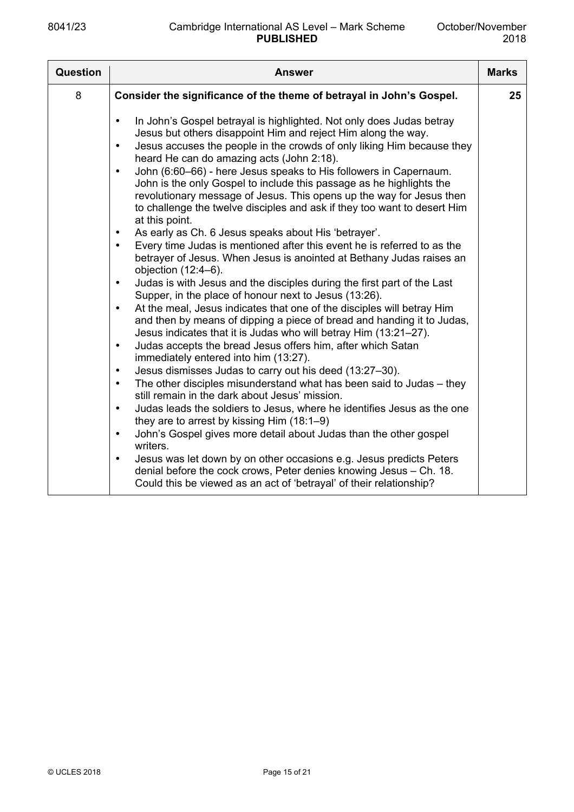| <b>Question</b> | <b>Answer</b>                                                                                                                                                                                                                                                                                                                                                                                                                                                                                                                                                                                                                                                                                                                                                                                                                                                                                                                                                                                                                                                                                                                                                                                                                                                                                                                                                                                                                                                                                                                                                                                                                                                                                                                                                                                                                                                                                                                                                                                                                                                                                | <b>Marks</b> |
|-----------------|----------------------------------------------------------------------------------------------------------------------------------------------------------------------------------------------------------------------------------------------------------------------------------------------------------------------------------------------------------------------------------------------------------------------------------------------------------------------------------------------------------------------------------------------------------------------------------------------------------------------------------------------------------------------------------------------------------------------------------------------------------------------------------------------------------------------------------------------------------------------------------------------------------------------------------------------------------------------------------------------------------------------------------------------------------------------------------------------------------------------------------------------------------------------------------------------------------------------------------------------------------------------------------------------------------------------------------------------------------------------------------------------------------------------------------------------------------------------------------------------------------------------------------------------------------------------------------------------------------------------------------------------------------------------------------------------------------------------------------------------------------------------------------------------------------------------------------------------------------------------------------------------------------------------------------------------------------------------------------------------------------------------------------------------------------------------------------------------|--------------|
| 8               | Consider the significance of the theme of betrayal in John's Gospel.                                                                                                                                                                                                                                                                                                                                                                                                                                                                                                                                                                                                                                                                                                                                                                                                                                                                                                                                                                                                                                                                                                                                                                                                                                                                                                                                                                                                                                                                                                                                                                                                                                                                                                                                                                                                                                                                                                                                                                                                                         | 25           |
|                 | In John's Gospel betrayal is highlighted. Not only does Judas betray<br>$\bullet$<br>Jesus but others disappoint Him and reject Him along the way.<br>Jesus accuses the people in the crowds of only liking Him because they<br>$\bullet$<br>heard He can do amazing acts (John 2:18).<br>John (6:60–66) - here Jesus speaks to His followers in Capernaum.<br>$\bullet$<br>John is the only Gospel to include this passage as he highlights the<br>revolutionary message of Jesus. This opens up the way for Jesus then<br>to challenge the twelve disciples and ask if they too want to desert Him<br>at this point.<br>As early as Ch. 6 Jesus speaks about His 'betrayer'.<br>$\bullet$<br>Every time Judas is mentioned after this event he is referred to as the<br>$\bullet$<br>betrayer of Jesus. When Jesus is anointed at Bethany Judas raises an<br>objection $(12:4-6)$ .<br>Judas is with Jesus and the disciples during the first part of the Last<br>$\bullet$<br>Supper, in the place of honour next to Jesus (13:26).<br>At the meal, Jesus indicates that one of the disciples will betray Him<br>$\bullet$<br>and then by means of dipping a piece of bread and handing it to Judas,<br>Jesus indicates that it is Judas who will betray Him (13:21-27).<br>Judas accepts the bread Jesus offers him, after which Satan<br>$\bullet$<br>immediately entered into him (13:27).<br>Jesus dismisses Judas to carry out his deed (13:27-30).<br>$\bullet$<br>The other disciples misunderstand what has been said to Judas – they<br>$\bullet$<br>still remain in the dark about Jesus' mission.<br>Judas leads the soldiers to Jesus, where he identifies Jesus as the one<br>$\bullet$<br>they are to arrest by kissing $\text{Him}(18:1-9)$<br>John's Gospel gives more detail about Judas than the other gospel<br>$\bullet$<br>writers.<br>Jesus was let down by on other occasions e.g. Jesus predicts Peters<br>$\bullet$<br>denial before the cock crows, Peter denies knowing Jesus - Ch. 18.<br>Could this be viewed as an act of 'betrayal' of their relationship? |              |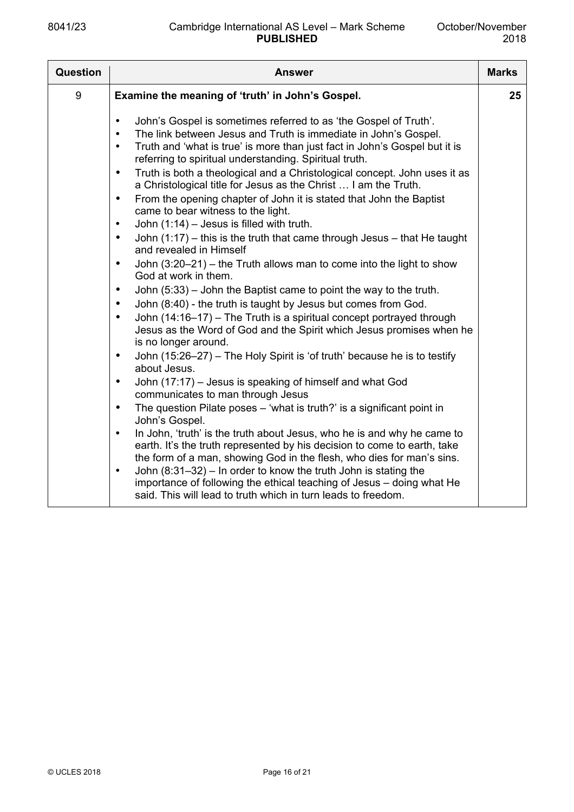| 9<br>Examine the meaning of 'truth' in John's Gospel.<br>John's Gospel is sometimes referred to as 'the Gospel of Truth'.<br>$\bullet$<br>The link between Jesus and Truth is immediate in John's Gospel.<br>$\bullet$<br>Truth and 'what is true' is more than just fact in John's Gospel but it is<br>$\bullet$<br>referring to spiritual understanding. Spiritual truth.<br>Truth is both a theological and a Christological concept. John uses it as<br>$\bullet$<br>a Christological title for Jesus as the Christ  I am the Truth.<br>From the opening chapter of John it is stated that John the Baptist<br>$\bullet$<br>came to bear witness to the light.<br>John $(1:14)$ – Jesus is filled with truth.<br>$\bullet$<br>John $(1:17)$ – this is the truth that came through Jesus – that He taught<br>$\bullet$<br>and revealed in Himself<br>John $(3:20-21)$ – the Truth allows man to come into the light to show<br>$\bullet$                                                                                                                                                                                                                    | <b>Question</b> | <b>Answer</b>        | <b>Marks</b> |
|----------------------------------------------------------------------------------------------------------------------------------------------------------------------------------------------------------------------------------------------------------------------------------------------------------------------------------------------------------------------------------------------------------------------------------------------------------------------------------------------------------------------------------------------------------------------------------------------------------------------------------------------------------------------------------------------------------------------------------------------------------------------------------------------------------------------------------------------------------------------------------------------------------------------------------------------------------------------------------------------------------------------------------------------------------------------------------------------------------------------------------------------------------------|-----------------|----------------------|--------------|
|                                                                                                                                                                                                                                                                                                                                                                                                                                                                                                                                                                                                                                                                                                                                                                                                                                                                                                                                                                                                                                                                                                                                                                |                 |                      | 25           |
| John $(5:33)$ – John the Baptist came to point the way to the truth.<br>$\bullet$<br>John (8:40) - the truth is taught by Jesus but comes from God.<br>$\bullet$<br>John (14:16-17) - The Truth is a spiritual concept portrayed through<br>$\bullet$<br>Jesus as the Word of God and the Spirit which Jesus promises when he<br>is no longer around.<br>John (15:26-27) - The Holy Spirit is 'of truth' because he is to testify<br>$\bullet$<br>about Jesus.<br>John (17:17) - Jesus is speaking of himself and what God<br>$\bullet$<br>communicates to man through Jesus<br>The question Pilate poses – 'what is truth?' is a significant point in<br>$\bullet$<br>John's Gospel.<br>In John, 'truth' is the truth about Jesus, who he is and why he came to<br>$\bullet$<br>earth. It's the truth represented by his decision to come to earth, take<br>the form of a man, showing God in the flesh, who dies for man's sins.<br>John $(8:31-32)$ – In order to know the truth John is stating the<br>$\bullet$<br>importance of following the ethical teaching of Jesus – doing what He<br>said. This will lead to truth which in turn leads to freedom. |                 | God at work in them. |              |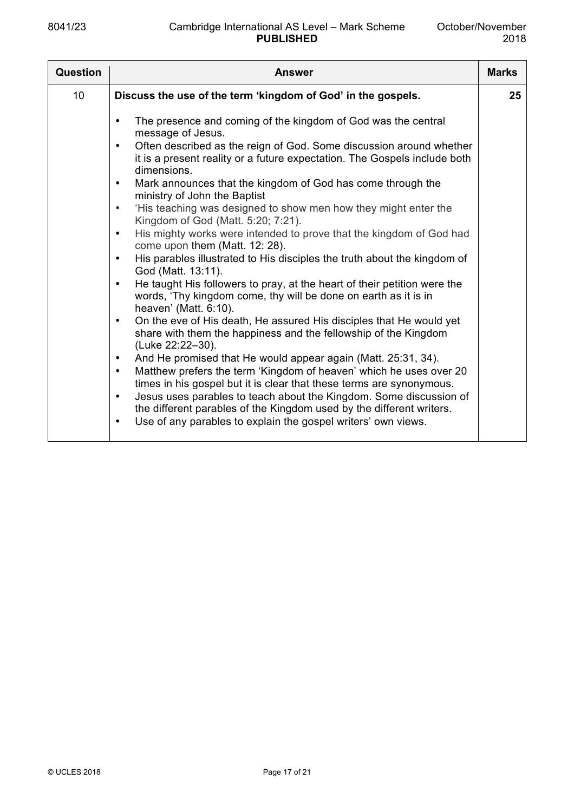| Question        | <b>Answer</b>                                                                                                                                                                                                                                                                                                                                                                                                                                                                                                                                                                                                                                                                                                                                                                                                                                                                                                                                                                                                                                                                                                                                                                                                                                                                                                                                                                                                                                                                                                                                                                                            | <b>Marks</b> |
|-----------------|----------------------------------------------------------------------------------------------------------------------------------------------------------------------------------------------------------------------------------------------------------------------------------------------------------------------------------------------------------------------------------------------------------------------------------------------------------------------------------------------------------------------------------------------------------------------------------------------------------------------------------------------------------------------------------------------------------------------------------------------------------------------------------------------------------------------------------------------------------------------------------------------------------------------------------------------------------------------------------------------------------------------------------------------------------------------------------------------------------------------------------------------------------------------------------------------------------------------------------------------------------------------------------------------------------------------------------------------------------------------------------------------------------------------------------------------------------------------------------------------------------------------------------------------------------------------------------------------------------|--------------|
| 10 <sup>°</sup> | Discuss the use of the term 'kingdom of God' in the gospels.                                                                                                                                                                                                                                                                                                                                                                                                                                                                                                                                                                                                                                                                                                                                                                                                                                                                                                                                                                                                                                                                                                                                                                                                                                                                                                                                                                                                                                                                                                                                             | 25           |
|                 | The presence and coming of the kingdom of God was the central<br>$\bullet$<br>message of Jesus.<br>Often described as the reign of God. Some discussion around whether<br>$\bullet$<br>it is a present reality or a future expectation. The Gospels include both<br>dimensions.<br>Mark announces that the kingdom of God has come through the<br>$\bullet$<br>ministry of John the Baptist<br>'His teaching was designed to show men how they might enter the<br>$\bullet$<br>Kingdom of God (Matt. 5:20; 7:21).<br>His mighty works were intended to prove that the kingdom of God had<br>$\bullet$<br>come upon them (Matt. 12: 28).<br>His parables illustrated to His disciples the truth about the kingdom of<br>$\bullet$<br>God (Matt. 13:11).<br>He taught His followers to pray, at the heart of their petition were the<br>$\bullet$<br>words, 'Thy kingdom come, thy will be done on earth as it is in<br>heaven' (Matt. 6:10).<br>On the eve of His death, He assured His disciples that He would yet<br>$\bullet$<br>share with them the happiness and the fellowship of the Kingdom<br>(Luke 22:22-30).<br>And He promised that He would appear again (Matt. 25:31, 34).<br>$\bullet$<br>Matthew prefers the term 'Kingdom of heaven' which he uses over 20<br>$\bullet$<br>times in his gospel but it is clear that these terms are synonymous.<br>Jesus uses parables to teach about the Kingdom. Some discussion of<br>$\bullet$<br>the different parables of the Kingdom used by the different writers.<br>Use of any parables to explain the gospel writers' own views.<br>$\bullet$ |              |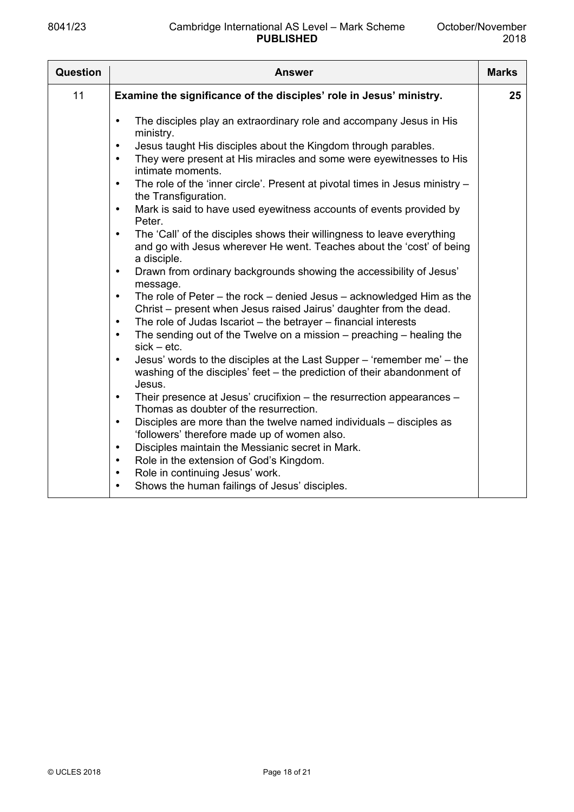| Question | Answer                                                                                                                                                                                                                                                                                                                                                                                                                                                                                                                                                                                                                                                                                                                                                                                                                                                                                                                                                                                                                                                                                                                                                                                                                                                                                                                 | <b>Marks</b> |
|----------|------------------------------------------------------------------------------------------------------------------------------------------------------------------------------------------------------------------------------------------------------------------------------------------------------------------------------------------------------------------------------------------------------------------------------------------------------------------------------------------------------------------------------------------------------------------------------------------------------------------------------------------------------------------------------------------------------------------------------------------------------------------------------------------------------------------------------------------------------------------------------------------------------------------------------------------------------------------------------------------------------------------------------------------------------------------------------------------------------------------------------------------------------------------------------------------------------------------------------------------------------------------------------------------------------------------------|--------------|
| 11       | Examine the significance of the disciples' role in Jesus' ministry.                                                                                                                                                                                                                                                                                                                                                                                                                                                                                                                                                                                                                                                                                                                                                                                                                                                                                                                                                                                                                                                                                                                                                                                                                                                    | 25           |
|          | The disciples play an extraordinary role and accompany Jesus in His<br>$\bullet$<br>ministry.<br>Jesus taught His disciples about the Kingdom through parables.<br>$\bullet$<br>They were present at His miracles and some were eyewitnesses to His<br>$\bullet$<br>intimate moments.<br>The role of the 'inner circle'. Present at pivotal times in Jesus ministry -<br>$\bullet$<br>the Transfiguration.<br>Mark is said to have used eyewitness accounts of events provided by<br>$\bullet$<br>Peter.<br>The 'Call' of the disciples shows their willingness to leave everything<br>$\bullet$<br>and go with Jesus wherever He went. Teaches about the 'cost' of being<br>a disciple.<br>Drawn from ordinary backgrounds showing the accessibility of Jesus'<br>$\bullet$<br>message.<br>The role of Peter $-$ the rock $-$ denied Jesus $-$ acknowledged Him as the<br>$\bullet$<br>Christ – present when Jesus raised Jairus' daughter from the dead.<br>The role of Judas Iscariot - the betrayer - financial interests<br>$\bullet$<br>The sending out of the Twelve on a mission $-$ preaching $-$ healing the<br>$\bullet$<br>$sick - etc.$<br>Jesus' words to the disciples at the Last Supper - 'remember me' - the<br>$\bullet$<br>washing of the disciples' feet – the prediction of their abandonment of |              |
|          | Jesus.<br>Their presence at Jesus' crucifixion - the resurrection appearances -<br>$\bullet$<br>Thomas as doubter of the resurrection.                                                                                                                                                                                                                                                                                                                                                                                                                                                                                                                                                                                                                                                                                                                                                                                                                                                                                                                                                                                                                                                                                                                                                                                 |              |
|          | Disciples are more than the twelve named individuals – disciples as<br>$\bullet$<br>'followers' therefore made up of women also.                                                                                                                                                                                                                                                                                                                                                                                                                                                                                                                                                                                                                                                                                                                                                                                                                                                                                                                                                                                                                                                                                                                                                                                       |              |
|          | Disciples maintain the Messianic secret in Mark.<br>$\bullet$                                                                                                                                                                                                                                                                                                                                                                                                                                                                                                                                                                                                                                                                                                                                                                                                                                                                                                                                                                                                                                                                                                                                                                                                                                                          |              |
|          | Role in the extension of God's Kingdom.<br>$\bullet$                                                                                                                                                                                                                                                                                                                                                                                                                                                                                                                                                                                                                                                                                                                                                                                                                                                                                                                                                                                                                                                                                                                                                                                                                                                                   |              |
|          | Role in continuing Jesus' work.<br>$\bullet$<br>Shows the human failings of Jesus' disciples.                                                                                                                                                                                                                                                                                                                                                                                                                                                                                                                                                                                                                                                                                                                                                                                                                                                                                                                                                                                                                                                                                                                                                                                                                          |              |
|          | $\bullet$                                                                                                                                                                                                                                                                                                                                                                                                                                                                                                                                                                                                                                                                                                                                                                                                                                                                                                                                                                                                                                                                                                                                                                                                                                                                                                              |              |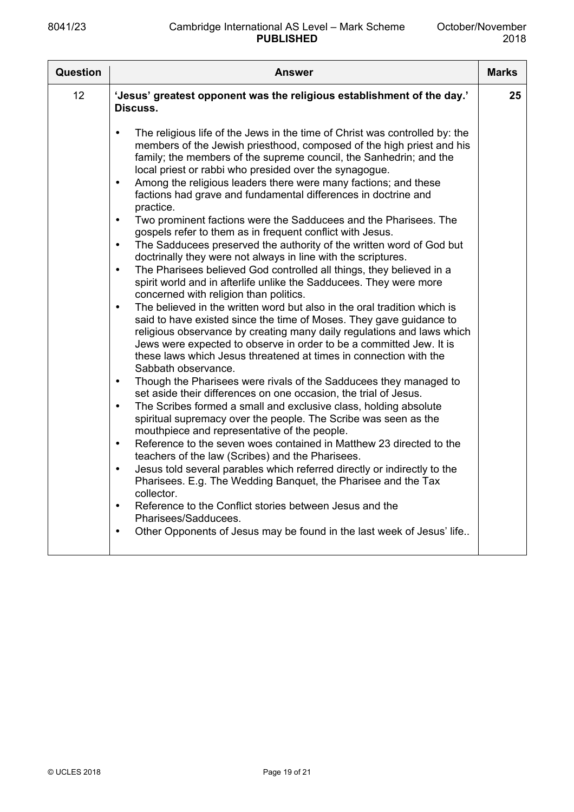| <b>Question</b> | <b>Answer</b>                                                                                                                                                                                                                                                                                                                                                                                                                                                                                                                                                                                                                                                                                                                                                                                                                                                                                                                                                                                                                                                                                                                                                                                                                                                                                                                                                                                                                                                                                                                                                                                                                                                                                                                                                                                                                                                                                                                                                                                                                                                                                                                                                                                                                                          | <b>Marks</b> |
|-----------------|--------------------------------------------------------------------------------------------------------------------------------------------------------------------------------------------------------------------------------------------------------------------------------------------------------------------------------------------------------------------------------------------------------------------------------------------------------------------------------------------------------------------------------------------------------------------------------------------------------------------------------------------------------------------------------------------------------------------------------------------------------------------------------------------------------------------------------------------------------------------------------------------------------------------------------------------------------------------------------------------------------------------------------------------------------------------------------------------------------------------------------------------------------------------------------------------------------------------------------------------------------------------------------------------------------------------------------------------------------------------------------------------------------------------------------------------------------------------------------------------------------------------------------------------------------------------------------------------------------------------------------------------------------------------------------------------------------------------------------------------------------------------------------------------------------------------------------------------------------------------------------------------------------------------------------------------------------------------------------------------------------------------------------------------------------------------------------------------------------------------------------------------------------------------------------------------------------------------------------------------------------|--------------|
| 12              | 'Jesus' greatest opponent was the religious establishment of the day.'<br>Discuss.                                                                                                                                                                                                                                                                                                                                                                                                                                                                                                                                                                                                                                                                                                                                                                                                                                                                                                                                                                                                                                                                                                                                                                                                                                                                                                                                                                                                                                                                                                                                                                                                                                                                                                                                                                                                                                                                                                                                                                                                                                                                                                                                                                     | 25           |
|                 | The religious life of the Jews in the time of Christ was controlled by: the<br>$\bullet$<br>members of the Jewish priesthood, composed of the high priest and his<br>family; the members of the supreme council, the Sanhedrin; and the<br>local priest or rabbi who presided over the synagogue.<br>Among the religious leaders there were many factions; and these<br>$\bullet$<br>factions had grave and fundamental differences in doctrine and<br>practice.<br>Two prominent factions were the Sadducees and the Pharisees. The<br>$\bullet$<br>gospels refer to them as in frequent conflict with Jesus.<br>The Sadducees preserved the authority of the written word of God but<br>$\bullet$<br>doctrinally they were not always in line with the scriptures.<br>The Pharisees believed God controlled all things, they believed in a<br>$\bullet$<br>spirit world and in afterlife unlike the Sadducees. They were more<br>concerned with religion than politics.<br>The believed in the written word but also in the oral tradition which is<br>$\bullet$<br>said to have existed since the time of Moses. They gave guidance to<br>religious observance by creating many daily regulations and laws which<br>Jews were expected to observe in order to be a committed Jew. It is<br>these laws which Jesus threatened at times in connection with the<br>Sabbath observance.<br>Though the Pharisees were rivals of the Sadducees they managed to<br>$\bullet$<br>set aside their differences on one occasion, the trial of Jesus.<br>The Scribes formed a small and exclusive class, holding absolute<br>$\bullet$<br>spiritual supremacy over the people. The Scribe was seen as the<br>mouthpiece and representative of the people.<br>Reference to the seven woes contained in Matthew 23 directed to the<br>$\bullet$<br>teachers of the law (Scribes) and the Pharisees.<br>Jesus told several parables which referred directly or indirectly to the<br>$\bullet$<br>Pharisees. E.g. The Wedding Banquet, the Pharisee and the Tax<br>collector.<br>Reference to the Conflict stories between Jesus and the<br>$\bullet$<br>Pharisees/Sadducees.<br>Other Opponents of Jesus may be found in the last week of Jesus' life<br>$\bullet$ |              |
|                 |                                                                                                                                                                                                                                                                                                                                                                                                                                                                                                                                                                                                                                                                                                                                                                                                                                                                                                                                                                                                                                                                                                                                                                                                                                                                                                                                                                                                                                                                                                                                                                                                                                                                                                                                                                                                                                                                                                                                                                                                                                                                                                                                                                                                                                                        |              |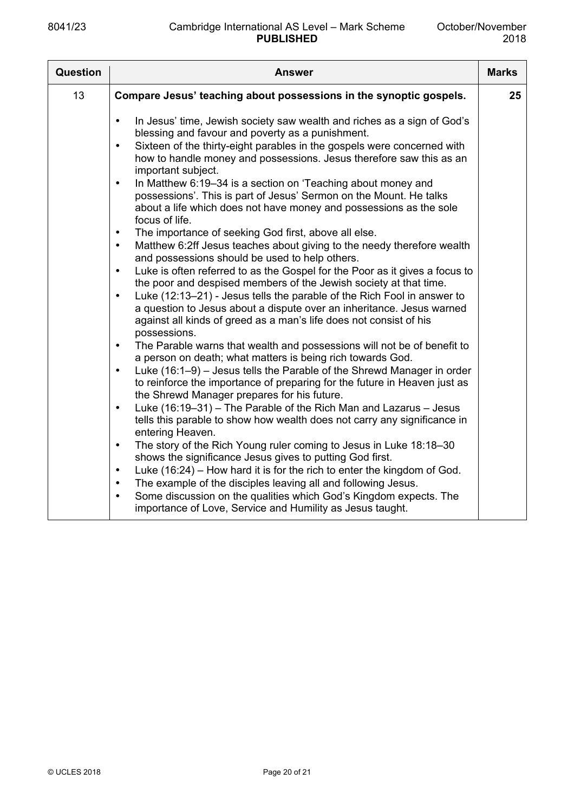| Question | <b>Answer</b>                                                                                                                                                                                                                                                                                                                                                                                                                                                                                                                                                                                                                                                                                                                                                                                                                                                                                                                                                                                                                                                                                                                                                                                                                                                                                                                                                                                                                                                                                                                                                                                                                                                                                                                                                                                                                                                                                                                                                                                                                                                                                                                                                                    | <b>Marks</b> |
|----------|----------------------------------------------------------------------------------------------------------------------------------------------------------------------------------------------------------------------------------------------------------------------------------------------------------------------------------------------------------------------------------------------------------------------------------------------------------------------------------------------------------------------------------------------------------------------------------------------------------------------------------------------------------------------------------------------------------------------------------------------------------------------------------------------------------------------------------------------------------------------------------------------------------------------------------------------------------------------------------------------------------------------------------------------------------------------------------------------------------------------------------------------------------------------------------------------------------------------------------------------------------------------------------------------------------------------------------------------------------------------------------------------------------------------------------------------------------------------------------------------------------------------------------------------------------------------------------------------------------------------------------------------------------------------------------------------------------------------------------------------------------------------------------------------------------------------------------------------------------------------------------------------------------------------------------------------------------------------------------------------------------------------------------------------------------------------------------------------------------------------------------------------------------------------------------|--------------|
| 13       | Compare Jesus' teaching about possessions in the synoptic gospels.                                                                                                                                                                                                                                                                                                                                                                                                                                                                                                                                                                                                                                                                                                                                                                                                                                                                                                                                                                                                                                                                                                                                                                                                                                                                                                                                                                                                                                                                                                                                                                                                                                                                                                                                                                                                                                                                                                                                                                                                                                                                                                               | 25           |
|          | In Jesus' time, Jewish society saw wealth and riches as a sign of God's<br>$\bullet$<br>blessing and favour and poverty as a punishment.<br>Sixteen of the thirty-eight parables in the gospels were concerned with<br>$\bullet$<br>how to handle money and possessions. Jesus therefore saw this as an<br>important subject.<br>In Matthew 6:19-34 is a section on 'Teaching about money and<br>$\bullet$<br>possessions'. This is part of Jesus' Sermon on the Mount. He talks<br>about a life which does not have money and possessions as the sole<br>focus of life.<br>The importance of seeking God first, above all else.<br>$\bullet$<br>Matthew 6:2ff Jesus teaches about giving to the needy therefore wealth<br>$\bullet$<br>and possessions should be used to help others.<br>Luke is often referred to as the Gospel for the Poor as it gives a focus to<br>$\bullet$<br>the poor and despised members of the Jewish society at that time.<br>Luke (12:13-21) - Jesus tells the parable of the Rich Fool in answer to<br>$\bullet$<br>a question to Jesus about a dispute over an inheritance. Jesus warned<br>against all kinds of greed as a man's life does not consist of his<br>possessions.<br>The Parable warns that wealth and possessions will not be of benefit to<br>$\bullet$<br>a person on death; what matters is being rich towards God.<br>Luke (16:1-9) - Jesus tells the Parable of the Shrewd Manager in order<br>$\bullet$<br>to reinforce the importance of preparing for the future in Heaven just as<br>the Shrewd Manager prepares for his future.<br>Luke (16:19-31) - The Parable of the Rich Man and Lazarus - Jesus<br>$\bullet$<br>tells this parable to show how wealth does not carry any significance in<br>entering Heaven.<br>The story of the Rich Young ruler coming to Jesus in Luke 18:18-30<br>$\bullet$<br>shows the significance Jesus gives to putting God first.<br>Luke (16:24) – How hard it is for the rich to enter the kingdom of God.<br>$\bullet$<br>The example of the disciples leaving all and following Jesus.<br>$\bullet$<br>Some discussion on the qualities which God's Kingdom expects. The<br>$\bullet$ |              |
|          | importance of Love, Service and Humility as Jesus taught.                                                                                                                                                                                                                                                                                                                                                                                                                                                                                                                                                                                                                                                                                                                                                                                                                                                                                                                                                                                                                                                                                                                                                                                                                                                                                                                                                                                                                                                                                                                                                                                                                                                                                                                                                                                                                                                                                                                                                                                                                                                                                                                        |              |